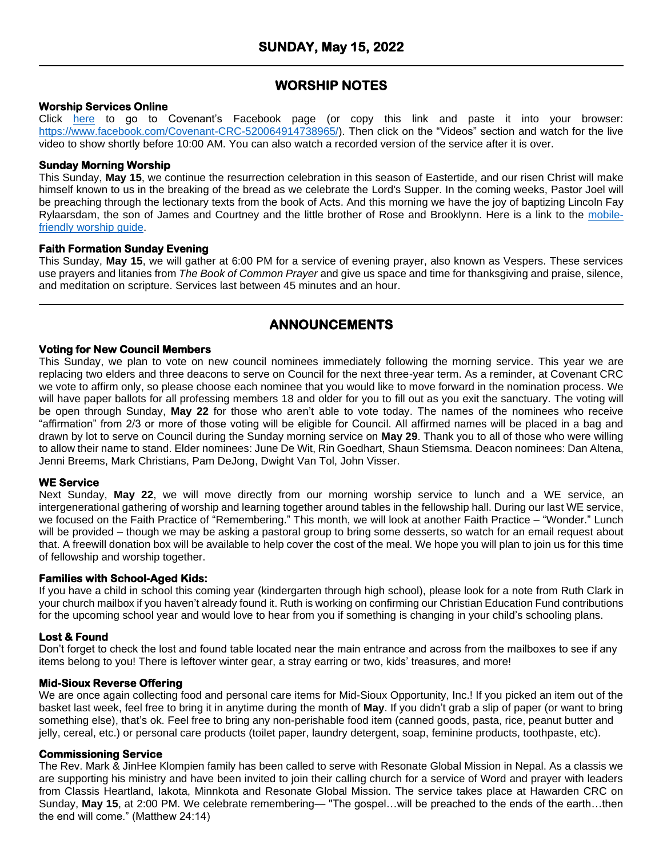# **WORSHIP NOTES**

## **Worship Services Online**

Click [here](https://www.facebook.com/Covenant-CRC-520064914738965/) to go to Covenant's Facebook page (or copy this link and paste it into your browser: [https://www.facebook.com/Covenant-CRC-520064914738965/\)](https://www.facebook.com/Covenant-CRC-520064914738965/). Then click on the "Videos" section and watch for the live video to show shortly before 10:00 AM. You can also watch a recorded version of the service after it is over.

### **Sunday Morning Worship**

This Sunday, **May 15**, we continue the resurrection celebration in this season of Eastertide, and our risen Christ will make himself known to us in the breaking of the bread as we celebrate the Lord's Supper. In the coming weeks, Pastor Joel will be preaching through the lectionary texts from the book of Acts. And this morning we have the joy of baptizing Lincoln Fay Rylaarsdam, the son of James and Courtney and the little brother of Rose and Brooklynn. Here is a link to the [mobile](https://docs.google.com/document/d/1ojwgvZXd9ksReRODGY5dyz-hS0XQllkXoAIbNfrQsiU/edit?usp=sharing)friendly [worship](https://docs.google.com/document/d/1ojwgvZXd9ksReRODGY5dyz-hS0XQllkXoAIbNfrQsiU/edit?usp=sharing) guide.

### **Faith Formation Sunday Evening**

This Sunday, **May 15**, we will gather at 6:00 PM for a service of evening prayer, also known as Vespers. These services use prayers and litanies from *The Book of Common Prayer* and give us space and time for thanksgiving and praise, silence, and meditation on scripture. Services last between 45 minutes and an hour.

# **ANNOUNCEMENTS**

### **Voting for New Council Members**

This Sunday, we plan to vote on new council nominees immediately following the morning service. This year we are replacing two elders and three deacons to serve on Council for the next three-year term. As a reminder, at Covenant CRC we vote to affirm only, so please choose each nominee that you would like to move forward in the nomination process. We will have paper ballots for all professing members 18 and older for you to fill out as you exit the sanctuary. The voting will be open through Sunday, **May 22** for those who aren't able to vote today. The names of the nominees who receive "affirmation" from 2/3 or more of those voting will be eligible for Council. All affirmed names will be placed in a bag and drawn by lot to serve on Council during the Sunday morning service on **May 29**. Thank you to all of those who were willing to allow their name to stand. Elder nominees: June De Wit, Rin Goedhart, Shaun Stiemsma. Deacon nominees: Dan Altena, Jenni Breems, Mark Christians, Pam DeJong, Dwight Van Tol, John Visser.

### **WE Service**

Next Sunday, **May 22**, we will move directly from our morning worship service to lunch and a WE service, an intergenerational gathering of worship and learning together around tables in the fellowship hall. During our last WE service, we focused on the Faith Practice of "Remembering." This month, we will look at another Faith Practice – "Wonder." Lunch will be provided – though we may be asking a pastoral group to bring some desserts, so watch for an email request about that. A freewill donation box will be available to help cover the cost of the meal. We hope you will plan to join us for this time of fellowship and worship together.

### **Families with School-Aged Kids:**

If you have a child in school this coming year (kindergarten through high school), please look for a note from Ruth Clark in your church mailbox if you haven't already found it. Ruth is working on confirming our Christian Education Fund contributions for the upcoming school year and would love to hear from you if something is changing in your child's schooling plans.

## **Lost & Found**

Don't forget to check the lost and found table located near the main entrance and across from the mailboxes to see if any items belong to you! There is leftover winter gear, a stray earring or two, kids' treasures, and more!

### **Mid-Sioux Reverse Offering**

We are once again collecting food and personal care items for Mid-Sioux Opportunity, Inc.! If you picked an item out of the basket last week, feel free to bring it in anytime during the month of **May**. If you didn't grab a slip of paper (or want to bring something else), that's ok. Feel free to bring any non-perishable food item (canned goods, pasta, rice, peanut butter and jelly, cereal, etc.) or personal care products (toilet paper, laundry detergent, soap, feminine products, toothpaste, etc).

### **Commissioning Service**

The Rev. Mark & JinHee Klompien family has been called to serve with Resonate Global Mission in Nepal. As a classis we are supporting his ministry and have been invited to join their calling church for a service of Word and prayer with leaders from Classis Heartland, Iakota, Minnkota and Resonate Global Mission. The service takes place at Hawarden CRC on Sunday, **May 15**, at 2:00 PM. We celebrate remembering— "The gospel…will be preached to the ends of the earth…then the end will come." (Matthew 24:14)